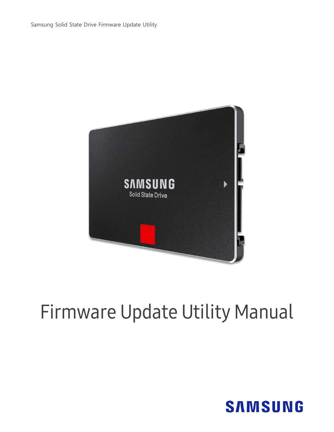Samsung Solid State Drive Firmware Update Utility



# Firmware Update Utility Manual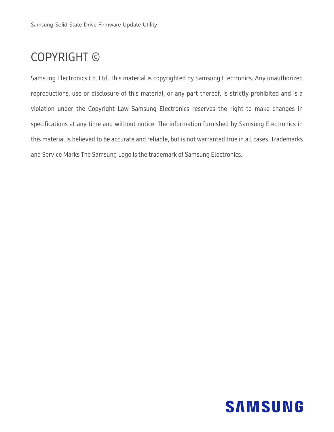## COPYRIGHT ©

Samsung Electronics Co. Ltd. This material is copyrighted by Samsung Electronics. Any unauthorized reproductions, use or disclosure of this material, or any part thereof, is strictly prohibited and is a violation under the Copyright Law Samsung Electronics reserves the right to make changes in specifications at any time and without notice. The information furnished by Samsung Electronics in this material is believed to be accurate and reliable, but is not warranted true in all cases. Trademarks and Service Marks The Samsung Logo is the trademark of Samsung Electronics.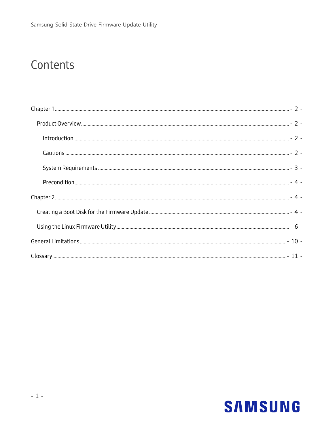## Contents

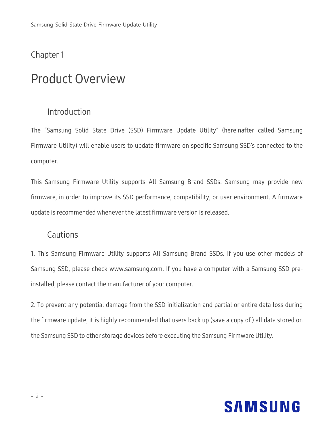### <span id="page-3-0"></span>Chapter 1

## <span id="page-3-1"></span>Product Overview

### <span id="page-3-2"></span>Introduction

The "Samsung Solid State Drive (SSD) Firmware Update Utility" (hereinafter called Samsung Firmware Utility) will enable users to update firmware on specific Samsung SSD's connected to the computer.

This Samsung Firmware Utility supports All Samsung Brand SSDs. Samsung may provide new firmware, in order to improve its SSD performance, compatibility, or user environment. A firmware update is recommended whenever the latest firmware version is released.

### <span id="page-3-3"></span>**Cautions**

1. This Samsung Firmware Utility supports All Samsung Brand SSDs. If you use other models of Samsung SSD, please check www.samsung.com. If you have a computer with a Samsung SSD preinstalled, please contact the manufacturer of your computer.

2. To prevent any potential damage from the SSD initialization and partial or entire data loss during the firmware update, it is highly recommended that users back up (save a copy of ) all data stored on the Samsung SSD to other storage devices before executing the Samsung Firmware Utility.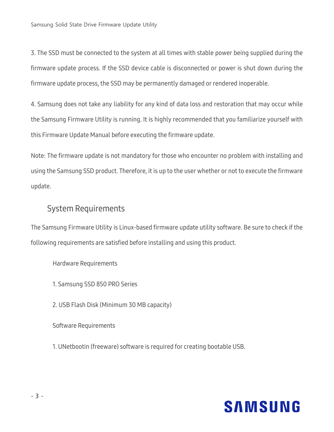3. The SSD must be connected to the system at all times with stable power being supplied during the firmware update process. If the SSD device cable is disconnected or power is shut down during the firmware update process, the SSD may be permanently damaged or rendered inoperable.

4. Samsung does not take any liability for any kind of data loss and restoration that may occur while the Samsung Firmware Utility is running. It is highly recommended that you familiarize yourself with this Firmware Update Manual before executing the firmware update.

Note: The firmware update is not mandatory for those who encounter no problem with installing and using the Samsung SSD product. Therefore, it is up to the user whether or not to execute the firmware update.

### <span id="page-4-0"></span>System Requirements

The Samsung Firmware Utility is Linux-based firmware update utility software. Be sure to check if the following requirements are satisfied before installing and using this product.

Hardware Requirements

- 1. Samsung SSD 850 PRO Series
- 2. USB Flash Disk (Minimum 30 MB capacity)

Software Requirements

1. UNetbootin (freeware) software is required for creating bootable USB.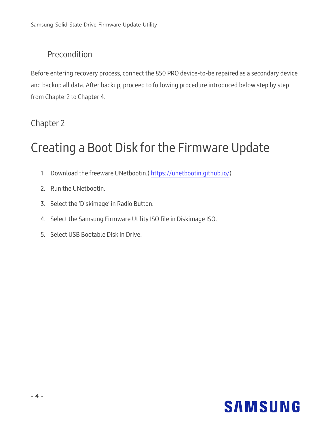### <span id="page-5-0"></span>Precondition

Before entering recovery process, connect the 850 PRO device-to-be repaired as a secondary device and backup all data. After backup, proceed to following procedure introduced below step by step from Chapter2 to Chapter 4.

### <span id="page-5-1"></span>Chapter 2

## <span id="page-5-2"></span>Creating a Boot Disk for the Firmware Update

- 1. Download the freeware UNetbootin.[\( https://unetbootin.github.io/\)](https://unetbootin.github.io/)
- 2. Run the UNetbootin.
- 3. Select the 'Diskimage' in Radio Button.
- 4. Select the Samsung Firmware Utility ISO file in Diskimage ISO.
- 5. Select USB Bootable Disk in Drive.

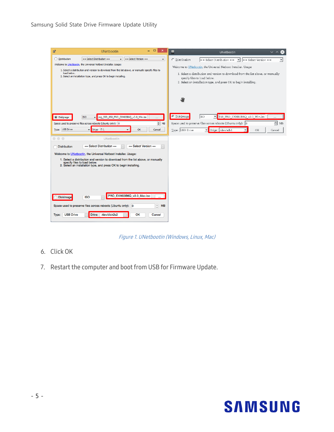| <b>A</b>                                       | <b>UNetbootin</b>                                                                                                                                                                                                                                                                                                                   | ▭<br>$\boldsymbol{\times}$           | $\mathbf{m}$<br>UNetbootin                                                                                                                                                                                                                                                                                                                                  |
|------------------------------------------------|-------------------------------------------------------------------------------------------------------------------------------------------------------------------------------------------------------------------------------------------------------------------------------------------------------------------------------------|--------------------------------------|-------------------------------------------------------------------------------------------------------------------------------------------------------------------------------------------------------------------------------------------------------------------------------------------------------------------------------------------------------------|
| O Distribution<br>load below.                  | $==$ Select Distribution $==$<br>$==$ Select Version $==$<br>$\overline{\phantom{a}}$<br>Welcome to UNetbootin, the Universal Netboot Installer. Usage:<br>1. Select a distribution and version to download from the list above, or manually specify files to<br>2. Select an installation type, and press OK to begin installing.  | $\overline{\phantom{a}}$             | $=$ Select Distribution = $\bullet$ $\bullet$ = Select Version = =<br>C Distribution<br>$\vert$<br>Welcome to UNetbootin, the Universal Netboot Installer. Usage:<br>1. Select a distribution and version to download from the list above, or manually<br>specify files to load below.<br>2. Select an installation type, and press OK to begin installing. |
| <b>O</b> Diskimage<br>Type: USB Drive          | ung_SSD_850_PRO_EXM03B6Q_v3.0_Win.iso<br><b>ISO</b><br>$\overline{\phantom{a}}$<br>Space used to preserve files across reboots (Ubuntu only): 0<br>Drive: E:\<br>OK<br>$\overline{\phantom{a}}$<br>$\overline{\phantom{0}}$                                                                                                         | m.<br>$\Rightarrow$ MB<br>Cancel     | <b>6</b> Diskimage<br>850 PRO EXM03B6Q v3.0 Win.iso<br><b>ISO</b><br>$\vert$<br>∃<br>Space used to preserve files across reboots (Ubuntu only): 0<br>MB<br>Drive: /dev/sdb1<br>Type: USB Drive<br>OK<br>$\overline{\phantom{a}}$<br>Cancel                                                                                                                  |
| $\circ$ $\circ$ $\circ$<br><b>Distribution</b> | UNetbootin<br>$==$ Select Distribution $==$<br>$==$ Select Version $==$<br>Welcome to UNetbootin, the Universal Netboot Installer. Usage:<br>1. Select a distribution and version to download from the list above, or manually<br>specify files to load below.<br>2. Select an installation type, and press OK to begin installing. |                                      |                                                                                                                                                                                                                                                                                                                                                             |
| <b>Diskimage</b><br><b>USB Drive</b><br>Type:  | PRO_EXM03B6Q_v3.0_Mac.iso<br><b>ISO</b><br>Space used to preserve files across reboots (Ubuntu only): 0<br>Drive: /dev/disk2s2<br>ок                                                                                                                                                                                                | <b>MB</b><br>$\hat{\cdot}$<br>Cancel |                                                                                                                                                                                                                                                                                                                                                             |

Figure 1. UNetbootin (Windows, Linux, Mac)

- 6. Click OK
- 7. Restart the computer and boot from USB for Firmware Update.

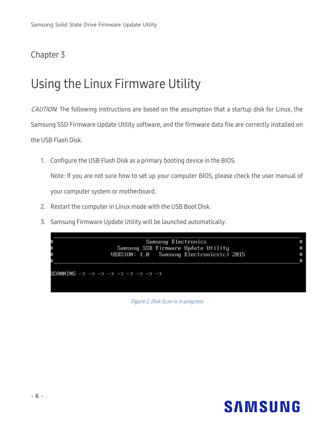### Chapter 3

## <span id="page-7-0"></span>Using the Linux Firmware Utility

CAUTION: The following instructions are based on the assumption that a startup disk for Linux, the Samsung SSD Firmware Update Utility software, and the firmware data file are correctly installed on the USB Flash Disk.

1. Configure the USB Flash Disk as a primary booting device in the BIOS.

Note: If you are not sure how to set up your computer BIOS, please check the user manual of your computer system or motherboard.

- 2. Restart the computer in Linux mode with the USB Boot Disk.
- 3. Samsung Firmware Update Utility will be launched automatically.



Figure 2. Disk Scan is in progress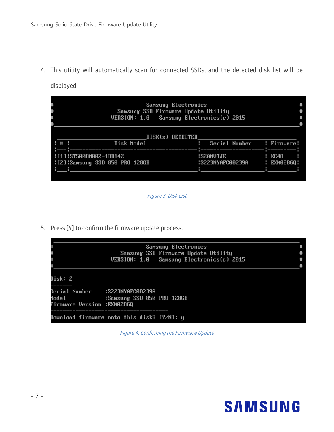4. This utility will automatically scan for connected SSDs, and the detected disk list will be displayed.

|  | Samsung SSD Firmware Update Utility       |                             | #      |
|--|-------------------------------------------|-----------------------------|--------|
|  | VERSION: 1.0 Samsung Electronics(c) 2015  |                             |        |
|  |                                           |                             |        |
|  | DISK(s) DETECTED<br>$1 + 1$<br>Disk Model | : Serial Number : Firmware: |        |
|  | : [1]:ST500DM002-1BD142                   | <b>ISZAMUTJE</b>            | : RC48 |
|  | :121:Samsung SSD 850 PRO 128GB            |                             |        |
|  |                                           |                             |        |



5. Press [Y] to confirm the firmware update process.

|                                                                                                     |                                            | <b>Samsung Electronics</b>               | # |
|-----------------------------------------------------------------------------------------------------|--------------------------------------------|------------------------------------------|---|
|                                                                                                     |                                            | Samsung SSD Firmware Update Utility      | # |
|                                                                                                     |                                            | VERSION: 1.0 Samsung Electronics(c) 2015 | # |
|                                                                                                     |                                            |                                          |   |
| Disk: 2                                                                                             |                                            |                                          |   |
| Serial Number    :S223NYAFC00239A<br>Model <b>was a common</b><br><b>Firmware Version :EXM02B6Q</b> | :Samsung SSD 850 PRO 128GB                 |                                          |   |
|                                                                                                     | Download firmware onto this disk? [Y/N]: y |                                          |   |

Figure 4. Confirming the Firmware Update

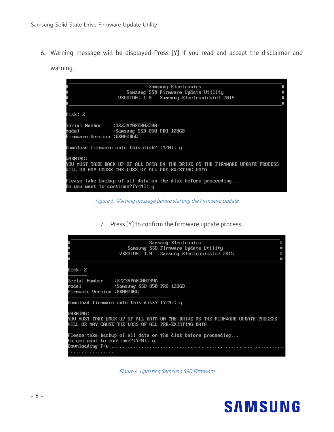6. Warning message will be displayed Press [Y] if you read and accept the disclaimer and

warning.

| <b>Samsung Electronics</b>                                                                                                                       |  |
|--------------------------------------------------------------------------------------------------------------------------------------------------|--|
| Samsung SSD Firmware Update Utility                                                                                                              |  |
| VERSION: 1.0 Samsung Electronics(c) 2015                                                                                                         |  |
|                                                                                                                                                  |  |
| Disk: 2                                                                                                                                          |  |
| Serial Number    :S223NYAFC00239A<br><b>Firmware Version :EXM02B6Q</b>                                                                           |  |
| ______________<br>Download firmware onto this disk? [Y/N]: y                                                                                     |  |
| WARNING:<br>YOU MUST TAKE BACK UP OF ALL DATA ON THE DRIVE AS THE FIRMWARE UPDATE PROCESS<br>WILL OR MAY CAUSE THE LOSS OF ALL PRE-EXISTING DATA |  |
| Please take backup of all data on the disk before proceeding<br>Do you want to continue?[Y/N]: y                                                 |  |

Figure 5. Warning message before starting the Firmware Update

7. Press [Y] to confirm the firmware update process.



Figure 6. Updating Samsung SSD Firmware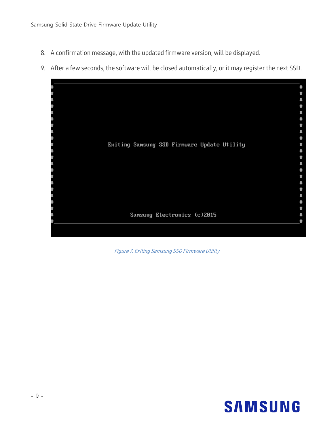- 8. A confirmation message, with the updated firmware version, will be displayed.
- 9. After a few seconds, the software will be closed automatically, or it may register the next SSD.



Figure 7. Exiting Samsung SSD Firmware Utility

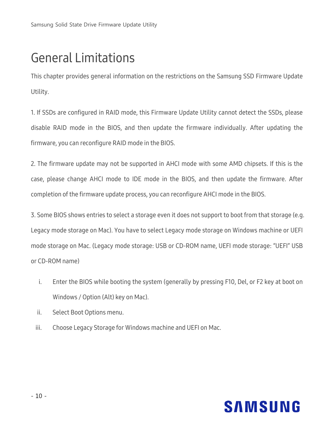## <span id="page-11-0"></span>General Limitations

This chapter provides general information on the restrictions on the Samsung SSD Firmware Update Utility.

1. If SSDs are configured in RAID mode, this Firmware Update Utility cannot detect the SSDs, please disable RAID mode in the BIOS, and then update the firmware individually. After updating the firmware, you can reconfigure RAID mode in the BIOS.

2. The firmware update may not be supported in AHCI mode with some AMD chipsets. If this is the case, please change AHCI mode to IDE mode in the BIOS, and then update the firmware. After completion of the firmware update process, you can reconfigure AHCI mode in the BIOS.

3. Some BIOS shows entries to select a storage even it does not support to boot from that storage (e.g. Legacy mode storage on Mac). You have to select Legacy mode storage on Windows machine or UEFI mode storage on Mac. (Legacy mode storage: USB or CD-ROM name, UEFI mode storage: "UEFI" USB or CD-ROM name)

- i. Enter the BIOS while booting the system (generally by pressing F10, Del, or F2 key at boot on Windows / Option (Alt) key on Mac).
- ii. Select Boot Options menu.
- iii. Choose Legacy Storage for Windows machine and UEFI on Mac.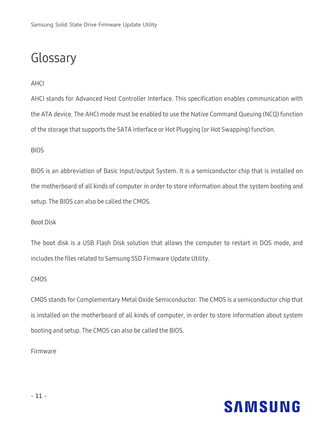## <span id="page-12-0"></span>Glossary

### AHCI

AHCI stands for Advanced Host Controller Interface. This specification enables communication with the ATA device. The AHCI mode must be enabled to use the Native Command Queuing (NCQ) function of the storage that supports the SATA interface or Hot Plugging (or Hot Swapping) function.

#### BIOS

BIOS is an abbreviation of Basic Input/output System. It is a semiconductor chip that is installed on the motherboard of all kinds of computer in order to store information about the system booting and setup. The BIOS can also be called the CMOS.

#### Boot Disk

The boot disk is a USB Flash Disk solution that allows the computer to restart in DOS mode, and includes the files related to Samsung SSD Firmware Update Utility.

#### **CMOS**

CMOS stands for Complementary Metal Oxide Semiconductor. The CMOS is a semiconductor chip that is installed on the motherboard of all kinds of computer, in order to store information about system booting and setup. The CMOS can also be called the BIOS.

#### Firmware